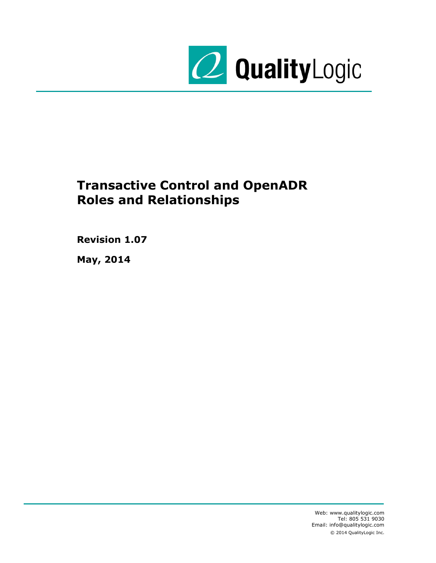

# <span id="page-0-0"></span>**Transactive Control and OpenADR Roles and Relationships**

**Revision 1.07**

**May, 2014**

Web: www.qualitylogic.com Tel: 805 531 9030 Email: info@qualitylogic.com © 2014 QualityLogic Inc.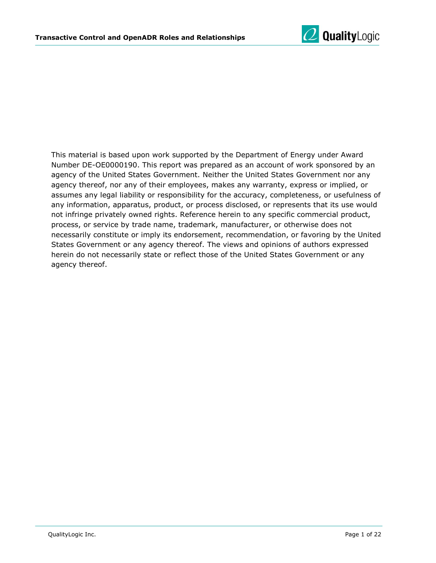

This material is based upon work supported by the Department of Energy under Award Number DE-OE0000190. This report was prepared as an account of work sponsored by an agency of the United States Government. Neither the United States Government nor any agency thereof, nor any of their employees, makes any warranty, express or implied, or assumes any legal liability or responsibility for the accuracy, completeness, or usefulness of any information, apparatus, product, or process disclosed, or represents that its use would not infringe privately owned rights. Reference herein to any specific commercial product, process, or service by trade name, trademark, manufacturer, or otherwise does not necessarily constitute or imply its endorsement, recommendation, or favoring by the United States Government or any agency thereof. The views and opinions of authors expressed herein do not necessarily state or reflect those of the United States Government or any agency thereof.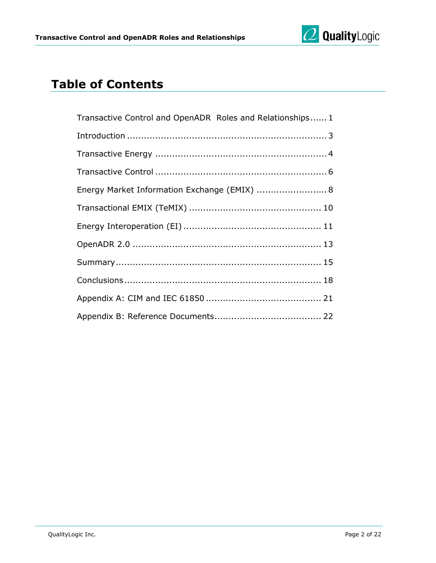

## **Table of Contents**

| Transactive Control and OpenADR Roles and Relationships1 |
|----------------------------------------------------------|
|                                                          |
|                                                          |
|                                                          |
| Energy Market Information Exchange (EMIX)  8             |
|                                                          |
|                                                          |
|                                                          |
|                                                          |
|                                                          |
|                                                          |
|                                                          |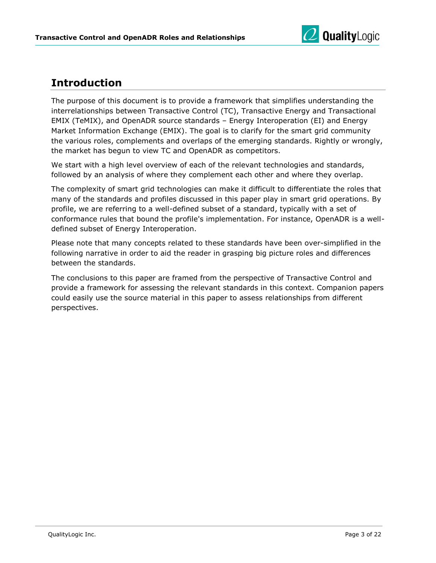

#### <span id="page-3-0"></span>**Introduction**

The purpose of this document is to provide a framework that simplifies understanding the interrelationships between Transactive Control (TC), Transactive Energy and Transactional EMIX (TeMIX), and OpenADR source standards – Energy Interoperation (EI) and Energy Market Information Exchange (EMIX). The goal is to clarify for the smart grid community the various roles, complements and overlaps of the emerging standards. Rightly or wrongly, the market has begun to view TC and OpenADR as competitors.

We start with a high level overview of each of the relevant technologies and standards, followed by an analysis of where they complement each other and where they overlap.

The complexity of smart grid technologies can make it difficult to differentiate the roles that many of the standards and profiles discussed in this paper play in smart grid operations. By profile, we are referring to a well-defined subset of a standard, typically with a set of conformance rules that bound the profile's implementation. For instance, OpenADR is a welldefined subset of Energy Interoperation.

Please note that many concepts related to these standards have been over-simplified in the following narrative in order to aid the reader in grasping big picture roles and differences between the standards.

The conclusions to this paper are framed from the perspective of Transactive Control and provide a framework for assessing the relevant standards in this context. Companion papers could easily use the source material in this paper to assess relationships from different perspectives.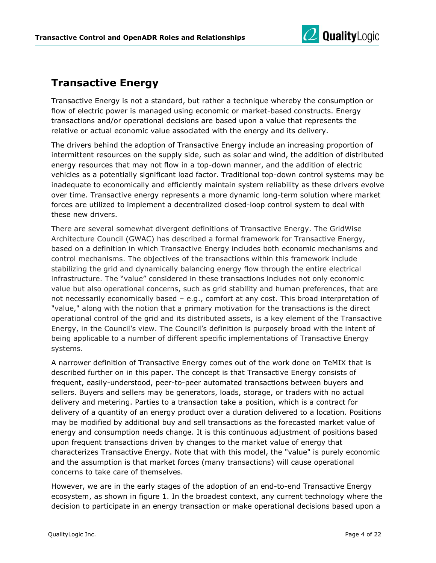

#### <span id="page-4-0"></span>**Transactive Energy**

Transactive Energy is not a standard, but rather a technique whereby the consumption or flow of electric power is managed using economic or market-based constructs. Energy transactions and/or operational decisions are based upon a value that represents the relative or actual economic value associated with the energy and its delivery.

The drivers behind the adoption of Transactive Energy include an increasing proportion of intermittent resources on the supply side, such as solar and wind, the addition of distributed energy resources that may not flow in a top-down manner, and the addition of electric vehicles as a potentially significant load factor. Traditional top-down control systems may be inadequate to economically and efficiently maintain system reliability as these drivers evolve over time. Transactive energy represents a more dynamic long-term solution where market forces are utilized to implement a decentralized closed-loop control system to deal with these new drivers.

There are several somewhat divergent definitions of Transactive Energy. The GridWise Architecture Council (GWAC) has described a formal framework for Transactive Energy, based on a definition in which Transactive Energy includes both economic mechanisms and control mechanisms. The objectives of the transactions within this framework include stabilizing the grid and dynamically balancing energy flow through the entire electrical infrastructure. The "value" considered in these transactions includes not only economic value but also operational concerns, such as grid stability and human preferences, that are not necessarily economically based – e.g., comfort at any cost. This broad interpretation of "value," along with the notion that a primary motivation for the transactions is the direct operational control of the grid and its distributed assets, is a key element of the Transactive Energy, in the Council's view. The Council's definition is purposely broad with the intent of being applicable to a number of different specific implementations of Transactive Energy systems.

A narrower definition of Transactive Energy comes out of the work done on TeMIX that is described further on in this paper. The concept is that Transactive Energy consists of frequent, easily-understood, peer-to-peer automated transactions between buyers and sellers. Buyers and sellers may be generators, loads, storage, or traders with no actual delivery and metering. Parties to a transaction take a position, which is a contract for delivery of a quantity of an energy product over a duration delivered to a location. Positions may be modified by additional buy and sell transactions as the forecasted market value of energy and consumption needs change. It is this continuous adjustment of positions based upon frequent transactions driven by changes to the market value of energy that characterizes Transactive Energy. Note that with this model, the "value" is purely economic and the assumption is that market forces (many transactions) will cause operational concerns to take care of themselves.

However, we are in the early stages of the adoption of an end-to-end Transactive Energy ecosystem, as shown in figure 1. In the broadest context, any current technology where the decision to participate in an energy transaction or make operational decisions based upon a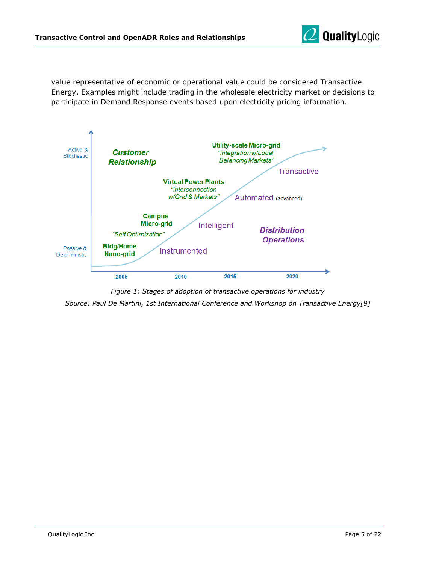

value representative of economic or operational value could be considered Transactive Energy. Examples might include trading in the wholesale electricity market or decisions to participate in Demand Response events based upon electricity pricing information.



*Figure 1: Stages of adoption of transactive operations for industry*

*Source: Paul De Martini, 1st International Conference and Workshop on Transactive Energy[9]*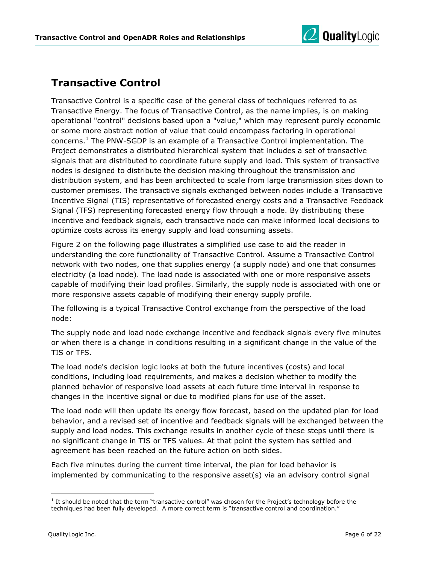

#### <span id="page-6-0"></span>**Transactive Control**

Transactive Control is a specific case of the general class of techniques referred to as Transactive Energy. The focus of Transactive Control, as the name implies, is on making operational "control" decisions based upon a "value," which may represent purely economic or some more abstract notion of value that could encompass factoring in operational concerns. <sup>1</sup> The PNW-SGDP is an example of a Transactive Control implementation. The Project demonstrates a distributed hierarchical system that includes a set of transactive signals that are distributed to coordinate future supply and load. This system of transactive nodes is designed to distribute the decision making throughout the transmission and distribution system, and has been architected to scale from large transmission sites down to customer premises. The transactive signals exchanged between nodes include a Transactive Incentive Signal (TIS) representative of forecasted energy costs and a Transactive Feedback Signal (TFS) representing forecasted energy flow through a node. By distributing these incentive and feedback signals, each transactive node can make informed local decisions to optimize costs across its energy supply and load consuming assets.

Figure 2 on the following page illustrates a simplified use case to aid the reader in understanding the core functionality of Transactive Control. Assume a Transactive Control network with two nodes, one that supplies energy (a supply node) and one that consumes electricity (a load node). The load node is associated with one or more responsive assets capable of modifying their load profiles. Similarly, the supply node is associated with one or more responsive assets capable of modifying their energy supply profile.

The following is a typical Transactive Control exchange from the perspective of the load node:

The supply node and load node exchange incentive and feedback signals every five minutes or when there is a change in conditions resulting in a significant change in the value of the TIS or TFS.

The load node's decision logic looks at both the future incentives (costs) and local conditions, including load requirements, and makes a decision whether to modify the planned behavior of responsive load assets at each future time interval in response to changes in the incentive signal or due to modified plans for use of the asset.

The load node will then update its energy flow forecast, based on the updated plan for load behavior, and a revised set of incentive and feedback signals will be exchanged between the supply and load nodes. This exchange results in another cycle of these steps until there is no significant change in TIS or TFS values. At that point the system has settled and agreement has been reached on the future action on both sides.

Each five minutes during the current time interval, the plan for load behavior is implemented by communicating to the responsive asset(s) via an advisory control signal

 $\overline{a}$ 

<sup>&</sup>lt;sup>1</sup> It should be noted that the term "transactive control" was chosen for the Project's technology before the techniques had been fully developed. A more correct term is "transactive control and coordination."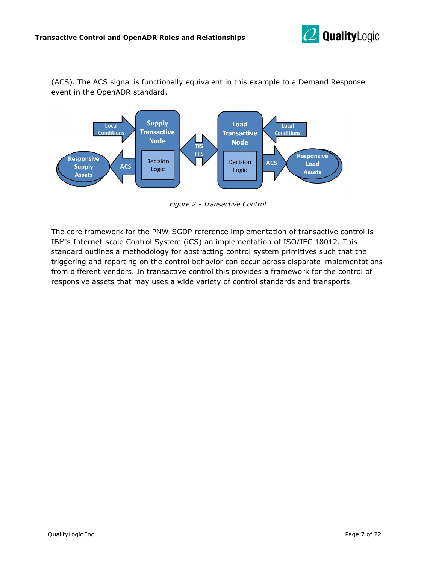

(ACS). The ACS signal is functionally equivalent in this example to a Demand Response event in the OpenADR standard.



*Figure 2 - Transactive Control*

The core framework for the PNW-SGDP reference implementation of transactive control is IBM's Internet-scale Control System (iCS) an implementation of ISO/IEC 18012. This standard outlines a methodology for abstracting control system primitives such that the triggering and reporting on the control behavior can occur across disparate implementations from different vendors. In transactive control this provides a framework for the control of responsive assets that may uses a wide variety of control standards and transports.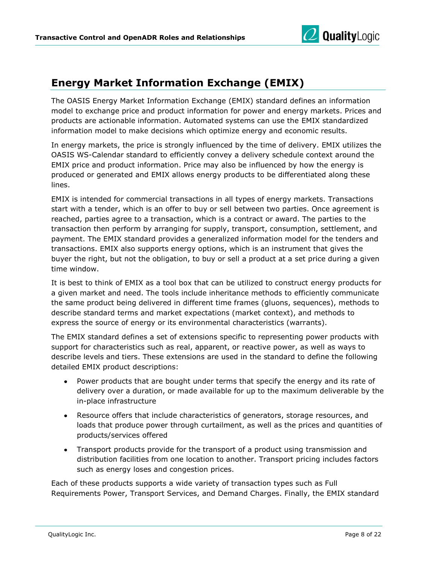

#### <span id="page-8-0"></span>**Energy Market Information Exchange (EMIX)**

The OASIS Energy Market Information Exchange (EMIX) standard defines an information model to exchange price and product information for power and energy markets. Prices and products are actionable information. Automated systems can use the EMIX standardized information model to make decisions which optimize energy and economic results.

In energy markets, the price is strongly influenced by the time of delivery. EMIX utilizes the OASIS WS-Calendar standard to efficiently convey a delivery schedule context around the EMIX price and product information. Price may also be influenced by how the energy is produced or generated and EMIX allows energy products to be differentiated along these lines.

EMIX is intended for commercial transactions in all types of energy markets. Transactions start with a tender, which is an offer to buy or sell between two parties. Once agreement is reached, parties agree to a transaction, which is a contract or award. The parties to the transaction then perform by arranging for supply, transport, consumption, settlement, and payment. The EMIX standard provides a generalized information model for the tenders and transactions. EMIX also supports energy options, which is an instrument that gives the buyer the right, but not the obligation, to buy or sell a product at a set price during a given time window.

It is best to think of EMIX as a tool box that can be utilized to construct energy products for a given market and need. The tools include inheritance methods to efficiently communicate the same product being delivered in different time frames (gluons, sequences), methods to describe standard terms and market expectations (market context), and methods to express the source of energy or its environmental characteristics (warrants).

The EMIX standard defines a set of extensions specific to representing power products with support for characteristics such as real, apparent, or reactive power, as well as ways to describe levels and tiers. These extensions are used in the standard to define the following detailed EMIX product descriptions:

- Power products that are bought under terms that specify the energy and its rate of  $\bullet$ delivery over a duration, or made available for up to the maximum deliverable by the in-place infrastructure
- Resource offers that include characteristics of generators, storage resources, and  $\bullet$ loads that produce power through curtailment, as well as the prices and quantities of products/services offered
- Transport products provide for the transport of a product using transmission and distribution facilities from one location to another. Transport pricing includes factors such as energy loses and congestion prices.

Each of these products supports a wide variety of transaction types such as Full Requirements Power, Transport Services, and Demand Charges. Finally, the EMIX standard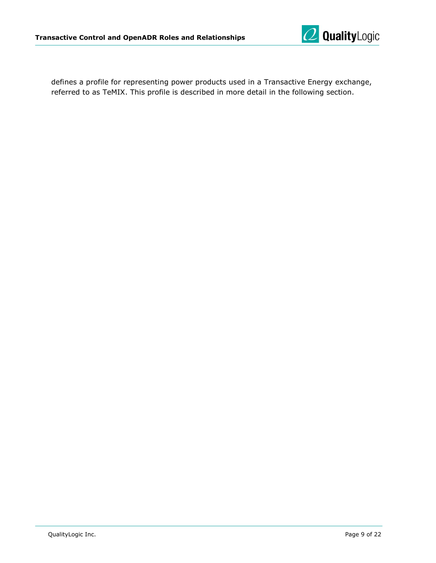

defines a profile for representing power products used in a Transactive Energy exchange, referred to as TeMIX. This profile is described in more detail in the following section.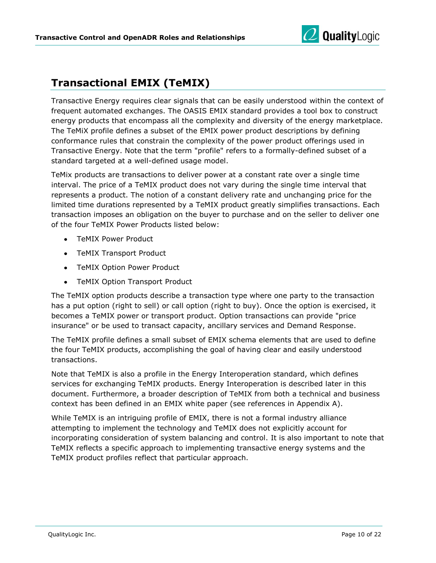

#### <span id="page-10-0"></span>**Transactional EMIX (TeMIX)**

Transactive Energy requires clear signals that can be easily understood within the context of frequent automated exchanges. The OASIS EMIX standard provides a tool box to construct energy products that encompass all the complexity and diversity of the energy marketplace. The TeMiX profile defines a subset of the EMIX power product descriptions by defining conformance rules that constrain the complexity of the power product offerings used in Transactive Energy. Note that the term "profile" refers to a formally-defined subset of a standard targeted at a well-defined usage model.

TeMix products are transactions to deliver power at a constant rate over a single time interval. The price of a TeMIX product does not vary during the single time interval that represents a product. The notion of a constant delivery rate and unchanging price for the limited time durations represented by a TeMIX product greatly simplifies transactions. Each transaction imposes an obligation on the buyer to purchase and on the seller to deliver one of the four TeMIX Power Products listed below:

- TeMIX Power Product
- TeMIX Transport Product
- TeMIX Option Power Product
- TeMIX Option Transport Product

The TeMIX option products describe a transaction type where one party to the transaction has a put option (right to sell) or call option (right to buy). Once the option is exercised, it becomes a TeMIX power or transport product. Option transactions can provide "price insurance" or be used to transact capacity, ancillary services and Demand Response.

The TeMIX profile defines a small subset of EMIX schema elements that are used to define the four TeMIX products, accomplishing the goal of having clear and easily understood transactions.

Note that TeMIX is also a profile in the Energy Interoperation standard, which defines services for exchanging TeMIX products. Energy Interoperation is described later in this document. Furthermore, a broader description of TeMIX from both a technical and business context has been defined in an EMIX white paper (see references in Appendix A).

While TeMIX is an intriguing profile of EMIX, there is not a formal industry alliance attempting to implement the technology and TeMIX does not explicitly account for incorporating consideration of system balancing and control. It is also important to note that TeMIX reflects a specific approach to implementing transactive energy systems and the TeMIX product profiles reflect that particular approach.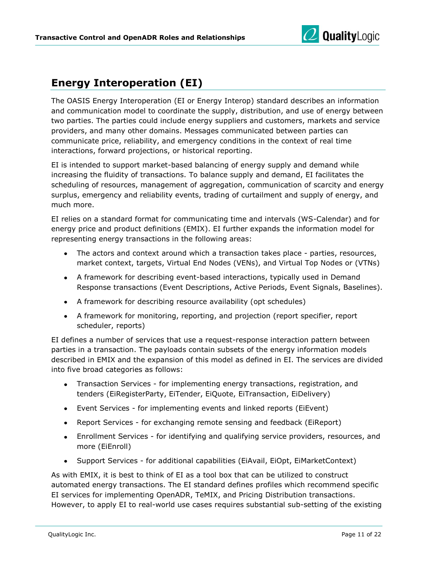

#### <span id="page-11-0"></span>**Energy Interoperation (EI)**

The OASIS Energy Interoperation (EI or Energy Interop) standard describes an information and communication model to coordinate the supply, distribution, and use of energy between two parties. The parties could include energy suppliers and customers, markets and service providers, and many other domains. Messages communicated between parties can communicate price, reliability, and emergency conditions in the context of real time interactions, forward projections, or historical reporting.

EI is intended to support market-based balancing of energy supply and demand while increasing the fluidity of transactions. To balance supply and demand, EI facilitates the scheduling of resources, management of aggregation, communication of scarcity and energy surplus, emergency and reliability events, trading of curtailment and supply of energy, and much more.

EI relies on a standard format for communicating time and intervals (WS-Calendar) and for energy price and product definitions (EMIX). EI further expands the information model for representing energy transactions in the following areas:

- The actors and context around which a transaction takes place parties, resources, market context, targets, Virtual End Nodes (VENs), and Virtual Top Nodes or (VTNs)
- A framework for describing event-based interactions, typically used in Demand Response transactions (Event Descriptions, Active Periods, Event Signals, Baselines).
- A framework for describing resource availability (opt schedules)
- A framework for monitoring, reporting, and projection (report specifier, report scheduler, reports)

EI defines a number of services that use a request-response interaction pattern between parties in a transaction. The payloads contain subsets of the energy information models described in EMIX and the expansion of this model as defined in EI. The services are divided into five broad categories as follows:

- Transaction Services for implementing energy transactions, registration, and tenders (EiRegisterParty, EiTender, EiQuote, EiTransaction, EiDelivery)
- Event Services for implementing events and linked reports (EiEvent)
- Report Services for exchanging remote sensing and feedback (EiReport)
- Enrollment Services for identifying and qualifying service providers, resources, and more (EiEnroll)
- Support Services for additional capabilities (EiAvail, EiOpt, EiMarketContext)

As with EMIX, it is best to think of EI as a tool box that can be utilized to construct automated energy transactions. The EI standard defines profiles which recommend specific EI services for implementing OpenADR, TeMIX, and Pricing Distribution transactions. However, to apply EI to real-world use cases requires substantial sub-setting of the existing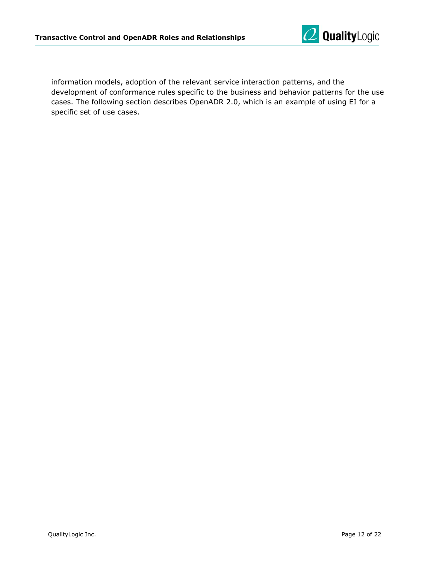

information models, adoption of the relevant service interaction patterns, and the development of conformance rules specific to the business and behavior patterns for the use cases. The following section describes OpenADR 2.0, which is an example of using EI for a specific set of use cases.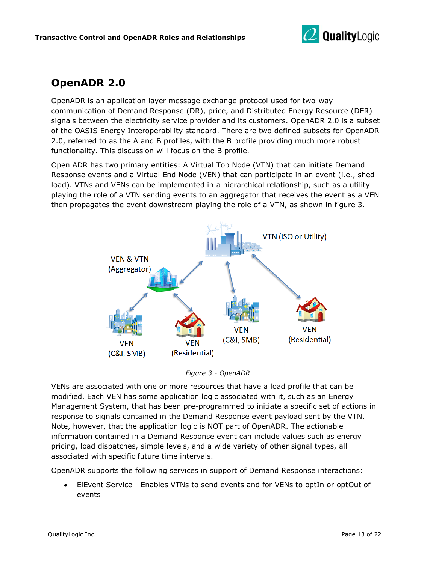

## <span id="page-13-0"></span>**OpenADR 2.0**

OpenADR is an application layer message exchange protocol used for two-way communication of Demand Response (DR), price, and Distributed Energy Resource (DER) signals between the electricity service provider and its customers. OpenADR 2.0 is a subset of the OASIS Energy Interoperability standard. There are two defined subsets for OpenADR 2.0, referred to as the A and B profiles, with the B profile providing much more robust functionality. This discussion will focus on the B profile.

Open ADR has two primary entities: A Virtual Top Node (VTN) that can initiate Demand Response events and a Virtual End Node (VEN) that can participate in an event (i.e., shed load). VTNs and VENs can be implemented in a hierarchical relationship, such as a utility playing the role of a VTN sending events to an aggregator that receives the event as a VEN then propagates the event downstream playing the role of a VTN, as shown in figure 3.



*Figure 3 - OpenADR*

VENs are associated with one or more resources that have a load profile that can be modified. Each VEN has some application logic associated with it, such as an Energy Management System, that has been pre-programmed to initiate a specific set of actions in response to signals contained in the Demand Response event payload sent by the VTN. Note, however, that the application logic is NOT part of OpenADR. The actionable information contained in a Demand Response event can include values such as energy pricing, load dispatches, simple levels, and a wide variety of other signal types, all associated with specific future time intervals.

OpenADR supports the following services in support of Demand Response interactions:

EiEvent Service - Enables VTNs to send events and for VENs to optIn or optOut of events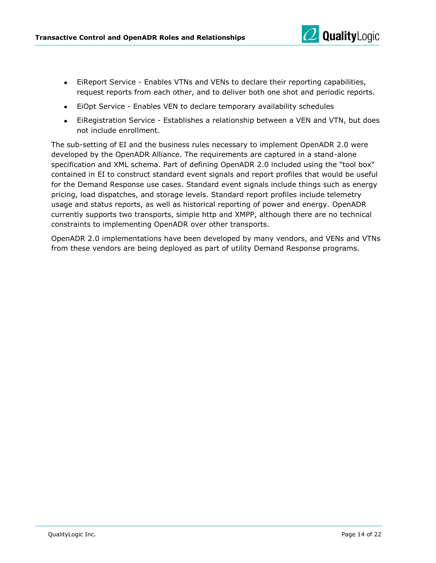

- EiReport Service Enables VTNs and VENs to declare their reporting capabilities, request reports from each other, and to deliver both one shot and periodic reports.
- EiOpt Service Enables VEN to declare temporary availability schedules
- EiRegistration Service Establishes a relationship between a VEN and VTN, but does not include enrollment.

The sub-setting of EI and the business rules necessary to implement OpenADR 2.0 were developed by the OpenADR Alliance. The requirements are captured in a stand-alone specification and XML schema. Part of defining OpenADR 2.0 included using the "tool box" contained in EI to construct standard event signals and report profiles that would be useful for the Demand Response use cases. Standard event signals include things such as energy pricing, load dispatches, and storage levels. Standard report profiles include telemetry usage and status reports, as well as historical reporting of power and energy. OpenADR currently supports two transports, simple http and XMPP, although there are no technical constraints to implementing OpenADR over other transports.

OpenADR 2.0 implementations have been developed by many vendors, and VENs and VTNs from these vendors are being deployed as part of utility Demand Response programs.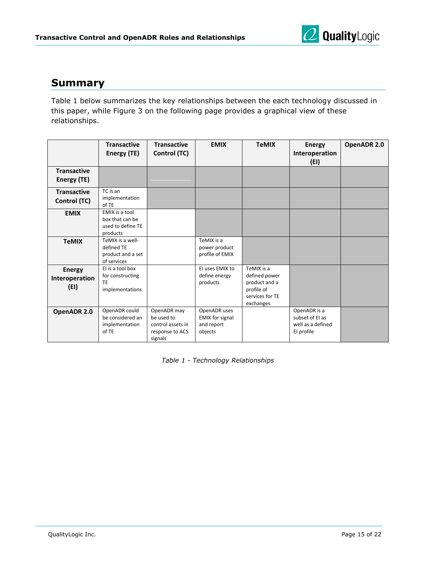

#### <span id="page-15-0"></span>**Summary**

Table 1 below summarizes the key relationships between the each technology discussed in this paper, while Figure 3 on the following page provides a graphical view of these relationships.

|                                         | <b>Transactive</b><br>Energy (TE)                                  | <b>Transactive</b><br>Control (TC)                                           | <b>EMIX</b>                                                     | <b>TeMIX</b>                                                                               | <b>Energy</b><br>Interoperation<br>(EI)                            | OpenADR 2.0 |
|-----------------------------------------|--------------------------------------------------------------------|------------------------------------------------------------------------------|-----------------------------------------------------------------|--------------------------------------------------------------------------------------------|--------------------------------------------------------------------|-------------|
| <b>Transactive</b><br>Energy (TE)       |                                                                    |                                                                              |                                                                 |                                                                                            |                                                                    |             |
| <b>Transactive</b><br>Control (TC)      | TC is an<br>implementation<br>of TE                                |                                                                              |                                                                 |                                                                                            |                                                                    |             |
| <b>EMIX</b>                             | EMIX is a tool<br>box that can be<br>used to define TE<br>products |                                                                              |                                                                 |                                                                                            |                                                                    |             |
| <b>TeMIX</b>                            | TeMIX is a well-<br>defined TE<br>product and a set<br>of services |                                                                              | TeMIX is a<br>power product<br>profile of EMIX                  |                                                                                            |                                                                    |             |
| <b>Energy</b><br>Interoperation<br>(EI) | El is a tool box<br>for constructing<br>TE<br>implementations      |                                                                              | El uses EMIX to<br>define energy<br>products                    | TeMIX is a<br>defined power<br>product and a<br>profile of<br>services for TE<br>exchanges |                                                                    |             |
| OpenADR 2.0                             | OpenADR could<br>be considered an<br>implementation<br>of TE       | OpenADR may<br>be used to<br>control assets in<br>response to ACS<br>signals | OpenADR uses<br><b>EMIX</b> for signal<br>and report<br>objects |                                                                                            | OpenADR is a<br>subset of El as<br>well as a defined<br>El profile |             |

*Table 1 - Technology Relationships*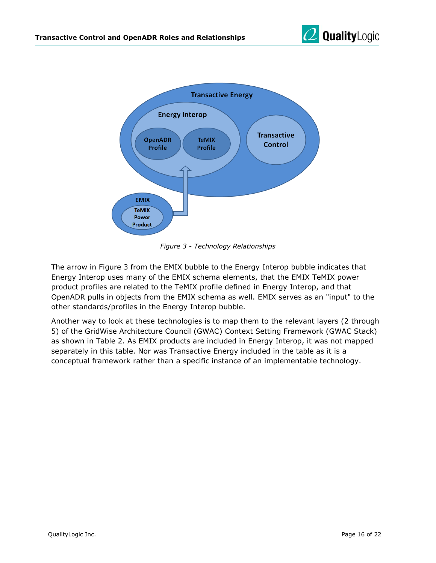



*Figure 3 - Technology Relationships*

The arrow in Figure 3 from the EMIX bubble to the Energy Interop bubble indicates that Energy Interop uses many of the EMIX schema elements, that the EMIX TeMIX power product profiles are related to the TeMIX profile defined in Energy Interop, and that OpenADR pulls in objects from the EMIX schema as well. EMIX serves as an "input" to the other standards/profiles in the Energy Interop bubble.

Another way to look at these technologies is to map them to the relevant layers (2 through 5) of the GridWise Architecture Council (GWAC) Context Setting Framework (GWAC Stack) as shown in Table 2. As EMIX products are included in Energy Interop, it was not mapped separately in this table. Nor was Transactive Energy included in the table as it is a conceptual framework rather than a specific instance of an implementable technology.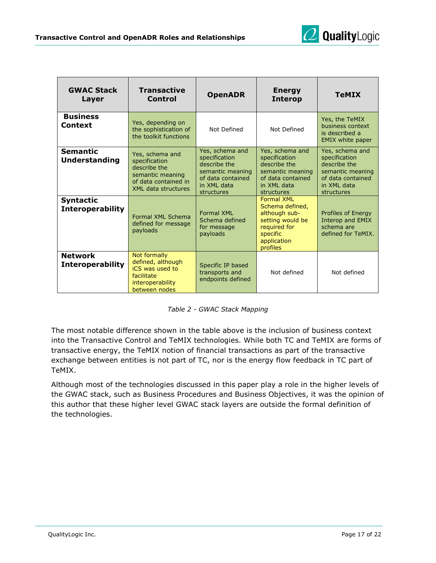

| <b>GWAC Stack</b><br>Layer                                                                                                                           | <b>Transactive</b><br>Control                                                                                              | <b>OpenADR</b>                                                                                                         | <b>Energy</b><br><b>Interop</b>                                                                                                  | <b>TeMIX</b>                                                                                                           |
|------------------------------------------------------------------------------------------------------------------------------------------------------|----------------------------------------------------------------------------------------------------------------------------|------------------------------------------------------------------------------------------------------------------------|----------------------------------------------------------------------------------------------------------------------------------|------------------------------------------------------------------------------------------------------------------------|
| <b>Business</b><br><b>Context</b>                                                                                                                    | Yes, depending on<br>the sophistication of<br>the toolkit functions                                                        | Not Defined                                                                                                            | Not Defined                                                                                                                      | Yes, the TeMIX<br>business context<br>is described a<br><b>EMIX</b> white paper                                        |
| <b>Semantic</b><br><b>Understanding</b>                                                                                                              | Yes, schema and<br>specification<br>describe the<br>semantic meaning<br>of data contained in<br><b>XML data structures</b> | Yes, schema and<br>specification<br>describe the<br>semantic meaning<br>of data contained<br>in XML data<br>structures | Yes, schema and<br>specification<br>describe the<br>semantic meaning<br>of data contained<br>in XML data<br>structures           | Yes, schema and<br>specification<br>describe the<br>semantic meaning<br>of data contained<br>in XML data<br>structures |
| <b>Syntactic</b><br><b>Interoperability</b>                                                                                                          | Formal XML Schema<br>defined for message<br>payloads                                                                       | Formal XMI<br>Schema defined<br>for message<br>payloads                                                                | <b>Formal XML</b><br>Schema defined,<br>although sub-<br>setting would be<br>required for<br>specific<br>application<br>profiles | Profiles of Energy<br><b>Interop and EMIX</b><br>schema are<br>defined for TeMIX.                                      |
| Not formally<br><b>Network</b><br>defined, although<br><b>Interoperability</b><br>iCS was used to<br>facilitate<br>interoperability<br>between nodes |                                                                                                                            | Specific IP based<br>transports and<br>endpoints defined                                                               | Not defined                                                                                                                      | Not defined                                                                                                            |

*Table 2 - GWAC Stack Mapping*

The most notable difference shown in the table above is the inclusion of business context into the Transactive Control and TeMIX technologies. While both TC and TeMIX are forms of transactive energy, the TeMIX notion of financial transactions as part of the transactive exchange between entities is not part of TC, nor is the energy flow feedback in TC part of TeMIX.

Although most of the technologies discussed in this paper play a role in the higher levels of the GWAC stack, such as Business Procedures and Business Objectives, it was the opinion of this author that these higher level GWAC stack layers are outside the formal definition of the technologies.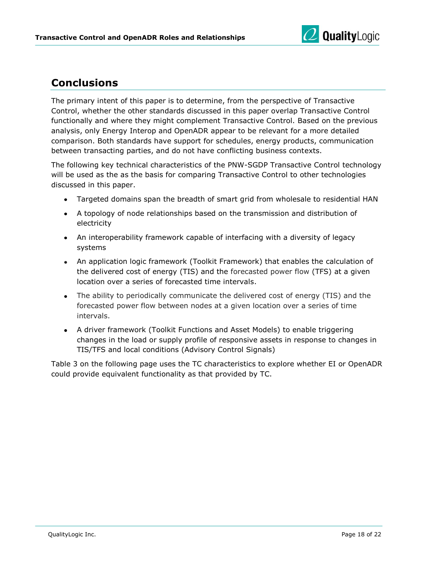

#### <span id="page-18-0"></span>**Conclusions**

The primary intent of this paper is to determine, from the perspective of Transactive Control, whether the other standards discussed in this paper overlap Transactive Control functionally and where they might complement Transactive Control. Based on the previous analysis, only Energy Interop and OpenADR appear to be relevant for a more detailed comparison. Both standards have support for schedules, energy products, communication between transacting parties, and do not have conflicting business contexts.

The following key technical characteristics of the PNW-SGDP Transactive Control technology will be used as the as the basis for comparing Transactive Control to other technologies discussed in this paper.

- Targeted domains span the breadth of smart grid from wholesale to residential HAN
- A topology of node relationships based on the transmission and distribution of electricity
- An interoperability framework capable of interfacing with a diversity of legacy systems
- An application logic framework (Toolkit Framework) that enables the calculation of the delivered cost of energy (TIS) and the forecasted power flow (TFS) at a given location over a series of forecasted time intervals.
- The ability to periodically communicate the delivered cost of energy (TIS) and the forecasted power flow between nodes at a given location over a series of time intervals.
- A driver framework (Toolkit Functions and Asset Models) to enable triggering changes in the load or supply profile of responsive assets in response to changes in TIS/TFS and local conditions (Advisory Control Signals)

Table 3 on the following page uses the TC characteristics to explore whether EI or OpenADR could provide equivalent functionality as that provided by TC.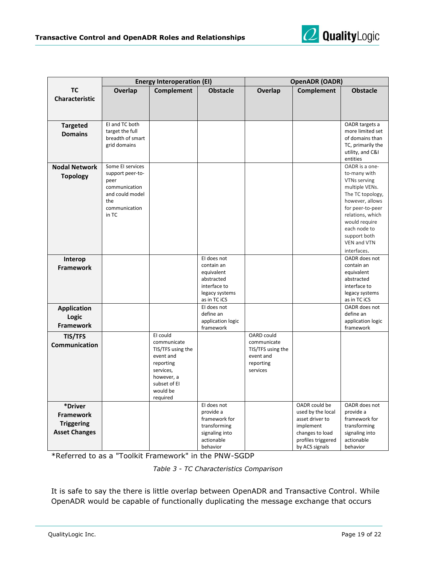

|                             | <b>Energy Interoperation (EI)</b>   |                        | <b>OpenADR (OADR)</b>          |                        |                    |                                     |
|-----------------------------|-------------------------------------|------------------------|--------------------------------|------------------------|--------------------|-------------------------------------|
| TC<br><b>Characteristic</b> | Overlap                             | <b>Complement</b>      | <b>Obstacle</b>                | Overlap                | <b>Complement</b>  | <b>Obstacle</b>                     |
|                             |                                     |                        |                                |                        |                    |                                     |
| <b>Targeted</b>             | EI and TC both                      |                        |                                |                        |                    | OADR targets a                      |
| <b>Domains</b>              | target the full<br>breadth of smart |                        |                                |                        |                    | more limited set<br>of domains than |
|                             | grid domains                        |                        |                                |                        |                    | TC, primarily the                   |
|                             |                                     |                        |                                |                        |                    | utility, and C&I                    |
|                             |                                     |                        |                                |                        |                    | entities                            |
| <b>Nodal Network</b>        | Some El services                    |                        |                                |                        |                    | OADR is a one-                      |
| <b>Topology</b>             | support peer-to-<br>peer            |                        |                                |                        |                    | to-many with<br>VTNs serving        |
|                             | communication                       |                        |                                |                        |                    | multiple VENs.                      |
|                             | and could model                     |                        |                                |                        |                    | The TC topology,                    |
|                             | the                                 |                        |                                |                        |                    | however, allows                     |
|                             | communication                       |                        |                                |                        |                    | for peer-to-peer                    |
|                             | in TC                               |                        |                                |                        |                    | relations, which                    |
|                             |                                     |                        |                                |                        |                    | would require<br>each node to       |
|                             |                                     |                        |                                |                        |                    | support both                        |
|                             |                                     |                        |                                |                        |                    | VEN and VTN                         |
|                             |                                     |                        |                                |                        |                    | interfaces.                         |
| Interop                     |                                     |                        | El does not                    |                        |                    | OADR does not                       |
| <b>Framework</b>            |                                     |                        | contain an                     |                        |                    | contain an                          |
|                             |                                     |                        | equivalent<br>abstracted       |                        |                    | equivalent<br>abstracted            |
|                             |                                     |                        | interface to                   |                        |                    | interface to                        |
|                             |                                     |                        | legacy systems                 |                        |                    | legacy systems                      |
|                             |                                     |                        | as in TC iCS                   |                        |                    | as in TC iCS                        |
| <b>Application</b>          |                                     |                        | El does not                    |                        |                    | OADR does not                       |
| Logic                       |                                     |                        | define an                      |                        |                    | define an                           |
| Framework                   |                                     |                        | application logic<br>framework |                        |                    | application logic<br>framework      |
| <b>TIS/TFS</b>              |                                     | EI could               |                                | OARD could             |                    |                                     |
| Communication               |                                     | communicate            |                                | communicate            |                    |                                     |
|                             |                                     | TIS/TFS using the      |                                | TIS/TFS using the      |                    |                                     |
|                             |                                     | event and<br>reporting |                                | event and<br>reporting |                    |                                     |
|                             |                                     | services,              |                                | services               |                    |                                     |
|                             |                                     | however, a             |                                |                        |                    |                                     |
|                             |                                     | subset of EI           |                                |                        |                    |                                     |
|                             |                                     | would be               |                                |                        |                    |                                     |
|                             |                                     | required               | El does not                    |                        | OADR could be      | OADR does not                       |
| *Driver                     |                                     |                        | provide a                      |                        | used by the local  | provide a                           |
| <b>Framework</b>            |                                     |                        | framework for                  |                        | asset driver to    | framework for                       |
| <b>Triggering</b>           |                                     |                        | transforming                   |                        | implement          | transforming                        |
| <b>Asset Changes</b>        |                                     |                        | signaling into                 |                        | changes to load    | signaling into                      |
|                             |                                     |                        | actionable                     |                        | profiles triggered | actionable                          |
|                             |                                     |                        | behavior                       |                        | by ACS signals     | behavior                            |

\*Referred to as a "Toolkit Framework" in the PNW-SGDP

| Table 3 - TC Characteristics Comparison |  |
|-----------------------------------------|--|
|-----------------------------------------|--|

It is safe to say the there is little overlap between OpenADR and Transactive Control. While OpenADR would be capable of functionally duplicating the message exchange that occurs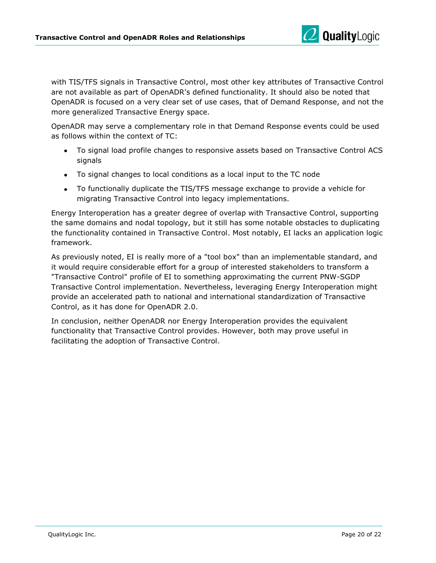

with TIS/TFS signals in Transactive Control, most other key attributes of Transactive Control are not available as part of OpenADR's defined functionality. It should also be noted that OpenADR is focused on a very clear set of use cases, that of Demand Response, and not the more generalized Transactive Energy space.

OpenADR may serve a complementary role in that Demand Response events could be used as follows within the context of TC:

- To signal load profile changes to responsive assets based on Transactive Control ACS signals
- To signal changes to local conditions as a local input to the TC node
- To functionally duplicate the TIS/TFS message exchange to provide a vehicle for migrating Transactive Control into legacy implementations.

Energy Interoperation has a greater degree of overlap with Transactive Control, supporting the same domains and nodal topology, but it still has some notable obstacles to duplicating the functionality contained in Transactive Control. Most notably, EI lacks an application logic framework.

As previously noted, EI is really more of a "tool box" than an implementable standard, and it would require considerable effort for a group of interested stakeholders to transform a "Transactive Control" profile of EI to something approximating the current PNW-SGDP Transactive Control implementation. Nevertheless, leveraging Energy Interoperation might provide an accelerated path to national and international standardization of Transactive Control, as it has done for OpenADR 2.0.

In conclusion, neither OpenADR nor Energy Interoperation provides the equivalent functionality that Transactive Control provides. However, both may prove useful in facilitating the adoption of Transactive Control.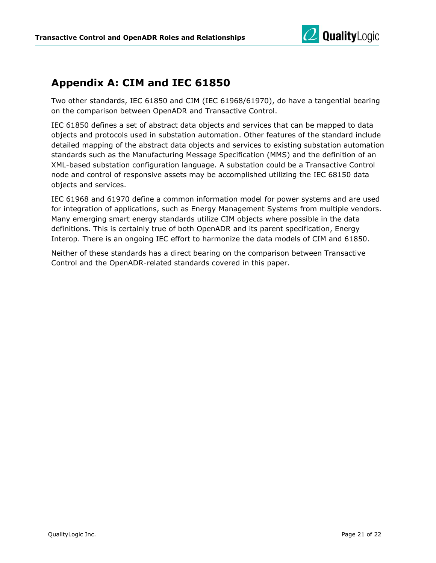

### <span id="page-21-0"></span>**Appendix A: CIM and IEC 61850**

Two other standards, IEC 61850 and CIM (IEC 61968/61970), do have a tangential bearing on the comparison between OpenADR and Transactive Control.

IEC 61850 defines a set of abstract data objects and services that can be mapped to data objects and protocols used in substation automation. Other features of the standard include detailed mapping of the abstract data objects and services to existing substation automation standards such as the Manufacturing Message Specification (MMS) and the definition of an XML-based substation configuration language. A substation could be a Transactive Control node and control of responsive assets may be accomplished utilizing the IEC 68150 data objects and services.

IEC 61968 and 61970 define a common information model for power systems and are used for integration of applications, such as Energy Management Systems from multiple vendors. Many emerging smart energy standards utilize CIM objects where possible in the data definitions. This is certainly true of both OpenADR and its parent specification, Energy Interop. There is an ongoing IEC effort to harmonize the data models of CIM and 61850.

Neither of these standards has a direct bearing on the comparison between Transactive Control and the OpenADR-related standards covered in this paper.